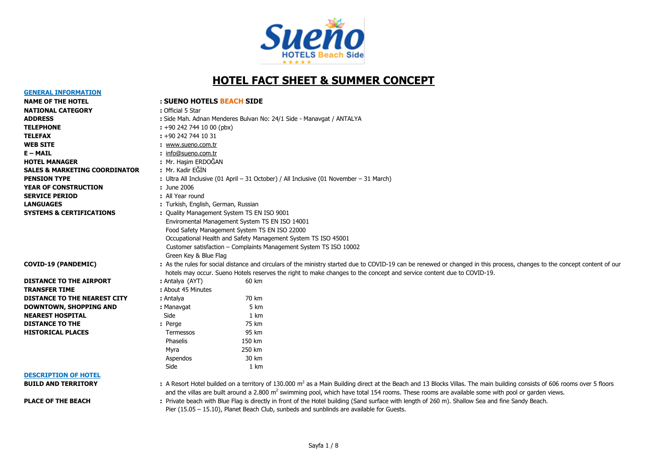

# **HOTEL FACT SHEET & SUMMER CONCEPT**

**GENERAL INFORMATION**

#### **NAME OF THE HOTEL : SUENO HOTELS BEACH SIDE**

| <b>NATIONAL CATEGORY</b>                 | : Official 5 Star                                                   |                                                                                                 |                                                                                                                                                                                                                                                                                                                                                     |
|------------------------------------------|---------------------------------------------------------------------|-------------------------------------------------------------------------------------------------|-----------------------------------------------------------------------------------------------------------------------------------------------------------------------------------------------------------------------------------------------------------------------------------------------------------------------------------------------------|
| <b>ADDRESS</b>                           |                                                                     |                                                                                                 | : Side Mah. Adnan Menderes Bulvarı No: 24/1 Side - Manavgat / ANTALYA                                                                                                                                                                                                                                                                               |
| <b>TELEPHONE</b>                         | $: +902427441000$ (pbx)                                             |                                                                                                 |                                                                                                                                                                                                                                                                                                                                                     |
| TELEFAX                                  | $: +902427441031$                                                   |                                                                                                 |                                                                                                                                                                                                                                                                                                                                                     |
| <b>WEB SITE</b>                          | : www.sueno.com.tr                                                  |                                                                                                 |                                                                                                                                                                                                                                                                                                                                                     |
| E – MAIL                                 | : info@sueno.com.tr                                                 |                                                                                                 |                                                                                                                                                                                                                                                                                                                                                     |
| <b>HOTEL MANAGER</b>                     | : Mr. Hasim ERDOĞAN                                                 |                                                                                                 |                                                                                                                                                                                                                                                                                                                                                     |
| <b>SALES &amp; MARKETING COORDINATOR</b> | : Mr. Kadir EĞİN                                                    |                                                                                                 |                                                                                                                                                                                                                                                                                                                                                     |
| <b>PENSION TYPE</b>                      |                                                                     |                                                                                                 | : Ultra All Inclusive (01 April - 31 October) / All Inclusive (01 November - 31 March)                                                                                                                                                                                                                                                              |
| <b>YEAR OF CONSTRUCTION</b>              | : June 2006                                                         |                                                                                                 |                                                                                                                                                                                                                                                                                                                                                     |
| <b>SERVICE PERIOD</b>                    | : All Year round                                                    |                                                                                                 |                                                                                                                                                                                                                                                                                                                                                     |
| <b>LANGUAGES</b>                         | : Turkish, English, German, Russian                                 |                                                                                                 |                                                                                                                                                                                                                                                                                                                                                     |
| <b>SYSTEMS &amp; CERTIFICATIONS</b>      | : Quality Management System TS EN ISO 9001<br>Green Key & Blue Flag | Enviromental Management System TS EN ISO 14001<br>Food Safety Management System TS EN ISO 22000 | Occupational Health and Safety Management System TS ISO 45001<br>Customer satisfaction - Complaints Management System TS ISO 10002                                                                                                                                                                                                                  |
| <b>COVID-19 (PANDEMIC)</b>               |                                                                     |                                                                                                 | : As the rules for social distance and circulars of the ministry started due to COVID-19 can be renewed or changed in this process, changes to the concept content of our<br>hotels may occur. Sueno Hotels reserves the right to make changes to the concept and service content due to COVID-19.                                                  |
| <b>DISTANCE TO THE AIRPORT</b>           | : Antalya (AYT)                                                     | 60 km                                                                                           |                                                                                                                                                                                                                                                                                                                                                     |
| <b>TRANSFER TIME</b>                     | : About 45 Minutes                                                  |                                                                                                 |                                                                                                                                                                                                                                                                                                                                                     |
| <b>DISTANCE TO THE NEAREST CITY</b>      | : Antalya                                                           | 70 km                                                                                           |                                                                                                                                                                                                                                                                                                                                                     |
| DOWNTOWN, SHOPPING AND                   | : Manavgat                                                          | 5 km                                                                                            |                                                                                                                                                                                                                                                                                                                                                     |
| <b>NEAREST HOSPITAL</b>                  | Side                                                                | 1 km                                                                                            |                                                                                                                                                                                                                                                                                                                                                     |
| <b>DISTANCE TO THE</b>                   | : Perge                                                             | 75 km                                                                                           |                                                                                                                                                                                                                                                                                                                                                     |
| <b>HISTORICAL PLACES</b>                 | Termessos                                                           | 95 km                                                                                           |                                                                                                                                                                                                                                                                                                                                                     |
|                                          | Phaselis                                                            | 150 km                                                                                          |                                                                                                                                                                                                                                                                                                                                                     |
|                                          | Myra                                                                | 250 km                                                                                          |                                                                                                                                                                                                                                                                                                                                                     |
|                                          | Aspendos                                                            | 30 km                                                                                           |                                                                                                                                                                                                                                                                                                                                                     |
|                                          | Side                                                                | 1 km                                                                                            |                                                                                                                                                                                                                                                                                                                                                     |
| <b>DESCRIPTION OF HOTEL</b>              |                                                                     |                                                                                                 |                                                                                                                                                                                                                                                                                                                                                     |
| <b>BUILD AND TERRITORY</b>               |                                                                     |                                                                                                 | : A Resort Hotel builded on a territory of 130.000 m <sup>2</sup> as a Main Building direct at the Beach and 13 Blocks Villas. The main building consists of 606 rooms over 5 floors<br>and the village are built around a 2,800 m <sup>2</sup> cwimming pool, which have total 154 rooms. These rooms are available some with pool or garden views |

and the villas are built around a 2.800 m<sup>2</sup> swimming pool, which have total 154 rooms. These rooms are available some with pool or garden views.

PLACE OF THE BEACH : Private beach with Blue Flag is directly in front of the Hotel building (Sand surface with length of 260 m). Shallow Sea and fine Sandy Beach. Pier (15.05 – 15.10), Planet Beach Club, sunbeds and sunblinds are available for Guests.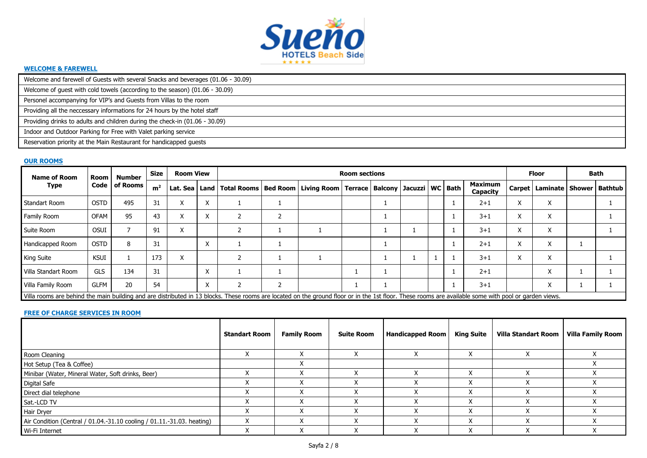

#### **WELCOME & FAREWELL**

Welcome and farewell of Guests with several Snacks and beverages (01.06 - 30.09)

Welcome of guest with cold towels (according to the season) (01.06 - 30.09)

Personel accompanying for VIP's and Guests from Villas to the room

Providing all the neccessary informations for 24 hours by the hotel staff

Providing drinks to adults and children during the check-in (01.06 - 30.09)

Indoor and Outdoor Parking for Free with Valet parking service

Reservation priority at the Main Restaurant for handicapped guests

#### **OUR ROOMS**

| <b>Name of Room</b>                                                                                                                                                                                   | Size        | <b>Room View</b> |                |                 |                           |  | <b>Room sections</b> |                                                                                |  |  |  | <b>Floor</b> |                     | Bath      |                                      |  |  |
|-------------------------------------------------------------------------------------------------------------------------------------------------------------------------------------------------------|-------------|------------------|----------------|-----------------|---------------------------|--|----------------------|--------------------------------------------------------------------------------|--|--|--|--------------|---------------------|-----------|--------------------------------------|--|--|
| Code<br>Type                                                                                                                                                                                          |             | of Rooms         | m <sup>2</sup> | Lat. Sea   Land |                           |  |                      | Total Rooms   Bed Room   Living Room   Terrace   Balcony   Jacuzzi   WC   Bath |  |  |  |              | Maximum<br>Capacity |           | Carpet   Laminate   Shower   Bathtub |  |  |
| <b>Standart Room</b>                                                                                                                                                                                  | <b>OSTD</b> | 495              | 31             | $\lambda$       | $\lambda$                 |  |                      |                                                                                |  |  |  |              | $2 + 1$             | $\lambda$ | X                                    |  |  |
| Family Room                                                                                                                                                                                           | <b>OFAM</b> | 95               | 43             |                 | $\lambda$                 |  |                      |                                                                                |  |  |  |              | $3 + 1$             |           | X                                    |  |  |
| Suite Room                                                                                                                                                                                            | <b>OSUI</b> |                  | 91             | $\lambda$       |                           |  |                      |                                                                                |  |  |  |              | $3 + 1$             | $\lambda$ | X                                    |  |  |
| Handicapped Room                                                                                                                                                                                      | <b>OSTD</b> | 8                | 31             |                 | $\checkmark$<br>$\lambda$ |  |                      |                                                                                |  |  |  |              | $2 + 1$             | $\lambda$ | X                                    |  |  |
| <b>King Suite</b>                                                                                                                                                                                     | KSUI        |                  | 173            | X               |                           |  |                      |                                                                                |  |  |  |              | $3 + 1$             | ↗         | X                                    |  |  |
| Villa Standart Room                                                                                                                                                                                   | <b>GLS</b>  | 134              | 31             |                 | $\mathbf{v}$<br>$\lambda$ |  |                      |                                                                                |  |  |  |              | $2 + 1$             |           | $\checkmark$<br>v                    |  |  |
| Villa Family Room                                                                                                                                                                                     | <b>GLFM</b> | 20               | 54             |                 | $\checkmark$<br>$\lambda$ |  |                      |                                                                                |  |  |  |              | $3 + 1$             |           | $\checkmark$                         |  |  |
| Villa rooms are behind the main building and are distributed in 13 blocks. These rooms are located on the ground floor or in the 1st floor. These rooms are available some with pool or garden views. |             |                  |                |                 |                           |  |                      |                                                                                |  |  |  |              |                     |           |                                      |  |  |

#### **FREE OF CHARGE SERVICES IN ROOM**

|                                                                        | <b>Standart Room</b> | <b>Family Room</b> | <b>Suite Room</b> | <b>Handicapped Room</b> | King Suite | <b>Villa Standart Room</b> | <b>Villa Family Room</b> |
|------------------------------------------------------------------------|----------------------|--------------------|-------------------|-------------------------|------------|----------------------------|--------------------------|
| Room Cleaning                                                          |                      |                    |                   |                         |            |                            |                          |
| Hot Setup (Tea & Coffee)                                               |                      |                    |                   |                         |            |                            |                          |
| Minibar (Water, Mineral Water, Soft drinks, Beer)                      |                      |                    |                   |                         |            |                            |                          |
| <b>Digital Safe</b>                                                    |                      |                    |                   |                         |            |                            |                          |
| Direct dial telephone                                                  |                      |                    |                   |                         | ∧          |                            |                          |
| Sat.-LCD TV                                                            |                      |                    |                   |                         | $\lambda$  |                            |                          |
| Hair Dryer                                                             |                      |                    |                   |                         | $\lambda$  |                            |                          |
| Air Condition (Central / 01.04.-31.10 cooling / 01.11.-31.03. heating) |                      |                    |                   |                         | $\lambda$  |                            |                          |
| Wi-Fi Internet                                                         |                      |                    |                   |                         | ∧          |                            |                          |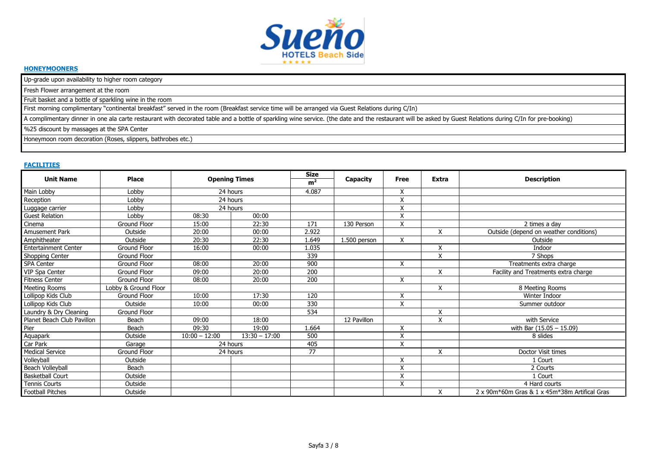

# **HONEYMOONERS**

Up-grade upon availability to higher room category

Fresh Flower arrangement at the room

Fruit basket and a bottle of sparkling wine in the room

First morning complimentary "continental breakfast" served in the room (Breakfast service time will be arranged via Guest Relations during C/In)

A complimentary dinner in one ala carte restaurant with decorated table and a bottle of sparkling wine service. (the date and the restaurant will be asked by Guest Relations during C/In for pre-booking)

%25 discount by massages at the SPA Center

Honeymoon room decoration (Roses, slippers, bathrobes etc.)

#### **FACILITIES**

| <b>Unit Name</b>           | <b>Place</b>         |                 | <b>Opening Times</b> |       | Capacity     | Free                    | <b>Extra</b> | <b>Description</b>                            |
|----------------------------|----------------------|-----------------|----------------------|-------|--------------|-------------------------|--------------|-----------------------------------------------|
| Main Lobby                 | Lobby                |                 | 24 hours             | 4.087 |              | X                       |              |                                               |
| Reception                  | Lobby                |                 | 24 hours             |       |              | X                       |              |                                               |
| Luggage carrier            | Lobby                |                 | 24 hours             |       |              | X                       |              |                                               |
| <b>Guest Relation</b>      | Lobby                | 08:30           | 00:00                |       |              | X                       |              |                                               |
| Cinema                     | Ground Floor         | 15:00           | 22:30                | 171   | 130 Person   | X                       |              | 2 times a day                                 |
| Amusement Park             | Outside              | 20:00           | 00:00                | 2.922 |              |                         | X            | Outside (depend on weather conditions)        |
| Amphitheater               | Outside              | 20:30           | 22:30                | 1.649 | 1.500 person | X                       |              | Outside                                       |
| Entertainment Center       | Ground Floor         | 16:00           | 00:00                | 1.035 |              |                         | X            | Indoor                                        |
| Shopping Center            | <b>Ground Floor</b>  |                 |                      | 339   |              |                         | X            | 7 Shops                                       |
| SPA Center                 | Ground Floor         | 08:00           | 20:00                | 900   |              | X                       |              | Treatments extra charge                       |
| VIP Spa Center             | Ground Floor         | 09:00           | 20:00                | 200   |              |                         | X            | Facility and Treatments extra charge          |
| <b>Fitness Center</b>      | <b>Ground Floor</b>  | 08:00           | 20:00                | 200   |              | X                       |              |                                               |
| Meeting Rooms              | Lobby & Ground Floor |                 |                      |       |              |                         | X            | 8 Meeting Rooms                               |
| Lollipop Kids Club         | Ground Floor         | 10:00           | 17:30                | 120   |              | X                       |              | Winter Indoor                                 |
| Lollipop Kids Club         | Outside              | 10:00           | 00:00                | 330   |              | X                       |              | Summer outdoor                                |
| Laundry & Dry Cleaning     | Ground Floor         |                 |                      | 534   |              |                         | X            |                                               |
| Planet Beach Club Pavillon | Beach                | 09:00           | 18:00                |       | 12 Pavillon  |                         | X            | with Service                                  |
| Pier                       | Beach                | 09:30           | 19:00                | 1.664 |              | X                       |              | with Bar (15.05 - 15.09)                      |
| Aquapark                   | Outside              | $10:00 - 12:00$ | $13:30 - 17:00$      | 500   |              | X                       |              | 8 slides                                      |
| Car Park                   | Garage               |                 | 24 hours             | 405   |              | X                       |              |                                               |
| <b>Medical Service</b>     | Ground Floor         |                 | 24 hours             | 77    |              |                         | X            | Doctor Visit times                            |
| Volleyball                 | Outside              |                 |                      |       |              | X                       |              | 1 Court                                       |
| Beach Volleyball           | Beach                |                 |                      |       |              | $\overline{\mathsf{x}}$ |              | 2 Courts                                      |
| <b>Basketball Court</b>    | Outside              |                 |                      |       |              | X                       |              | 1 Court                                       |
| Tennis Courts              | Outside              |                 |                      |       |              | X                       |              | 4 Hard courts                                 |
| Football Pitches           | Outside              |                 |                      |       |              |                         | X            | 2 x 90m*60m Gras & 1 x 45m*38m Artifical Gras |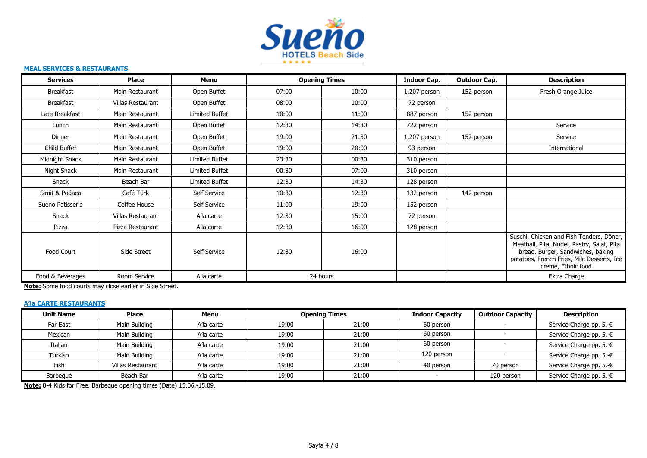

#### **MEAL SERVICES & RESTAURANTS**

| <b>Services</b>  | <b>Place</b>      | Menu           | <b>Opening Times</b> |       | Indoor Cap.  | <b>Outdoor Cap.</b> | <b>Description</b>                                                                                                                                                                              |
|------------------|-------------------|----------------|----------------------|-------|--------------|---------------------|-------------------------------------------------------------------------------------------------------------------------------------------------------------------------------------------------|
| <b>Breakfast</b> | Main Restaurant   | Open Buffet    | 07:00                | 10:00 | 1.207 person | 152 person          | Fresh Orange Juice                                                                                                                                                                              |
| <b>Breakfast</b> | Villas Restaurant | Open Buffet    | 08:00                | 10:00 | 72 person    |                     |                                                                                                                                                                                                 |
| Late Breakfast   | Main Restaurant   | Limited Buffet | 10:00                | 11:00 | 887 person   | 152 person          |                                                                                                                                                                                                 |
| Lunch            | Main Restaurant   | Open Buffet    | 12:30                | 14:30 | 722 person   |                     | Service                                                                                                                                                                                         |
| Dinner           | Main Restaurant   | Open Buffet    | 19:00                | 21:30 | 1.207 person | 152 person          | Service                                                                                                                                                                                         |
| Child Buffet     | Main Restaurant   | Open Buffet    | 19:00                | 20:00 | 93 person    |                     | International                                                                                                                                                                                   |
| Midnight Snack   | Main Restaurant   | Limited Buffet | 23:30                | 00:30 | 310 person   |                     |                                                                                                                                                                                                 |
| Night Snack      | Main Restaurant   | Limited Buffet | 00:30                | 07:00 | 310 person   |                     |                                                                                                                                                                                                 |
| Snack            | Beach Bar         | Limited Buffet | 12:30                | 14:30 | 128 person   |                     |                                                                                                                                                                                                 |
| Simit & Poğaça   | Café Türk         | Self Service   | 10:30                | 12:30 | 132 person   | 142 person          |                                                                                                                                                                                                 |
| Sueno Patisserie | Coffee House      | Self Service   | 11:00                | 19:00 | 152 person   |                     |                                                                                                                                                                                                 |
| Snack            | Villas Restaurant | A'la carte     | 12:30                | 15:00 | 72 person    |                     |                                                                                                                                                                                                 |
| Pizza            | Pizza Restaurant  | A'la carte     | 12:30                | 16:00 | 128 person   |                     |                                                                                                                                                                                                 |
| Food Court       | Side Street       | Self Service   | 12:30                | 16:00 |              |                     | Suschi, Chicken and Fish Tenders, Döner,<br>Meatball, Pita, Nudel, Pastry, Salat, Pita<br>bread, Burger, Sandwiches, baking<br>potatoes, French Fries, Milc Desserts, Ice<br>creme, Ethnic food |
| Food & Beverages | Room Service      | A'la carte     | 24 hours             |       |              |                     | Extra Charge                                                                                                                                                                                    |

**Note:** Some food courts may close earlier in Side Street.

# **A'la CARTE RESTAURANTS**

| <b>Unit Name</b> | <b>Place</b>             | Menu       |       | <b>Opening Times</b> | <b>Indoor Capacity</b> | <b>Outdoor Capacity</b> | <b>Description</b>      |
|------------------|--------------------------|------------|-------|----------------------|------------------------|-------------------------|-------------------------|
| Far East         | Main Building            | A'la carte | 19:00 | 21:00                | 60 person              |                         | Service Charge pp. 5.-€ |
| Mexican          | Main Building            | A'la carte | 19:00 | 21:00                | 60 person              |                         | Service Charge pp. 5.-€ |
| Italian          | Main Building            | A'la carte | 19:00 | 21:00                | 60 person              |                         | Service Charge pp. 5.-€ |
| Turkish          | Main Building            | A'la carte | 19:00 | 21:00                | 120 person             |                         | Service Charge pp. 5.-€ |
| Fish             | <b>Villas Restaurant</b> | A'la carte | 19:00 | 21:00                | 40 person              | 70 person               | Service Charge pp. 5.-€ |
| Barbegue         | Beach Bar                | A'la carte | 19:00 | 21:00                |                        | 120 person              | Service Charge pp. 5.-€ |

**Note:** 0-4 Kids for Free. Barbeque opening times (Date) 15.06.-15.09.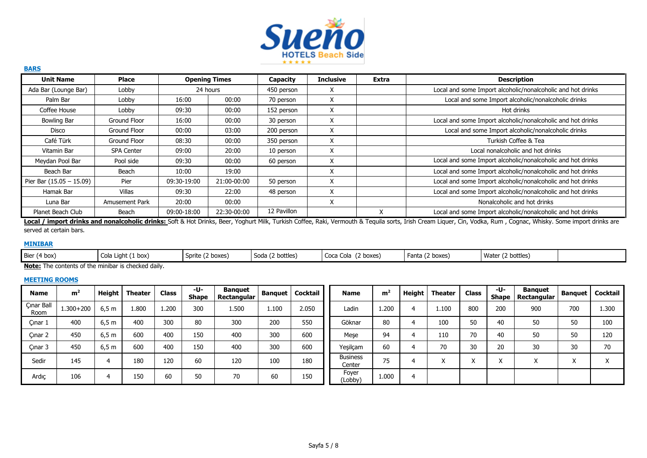

| <b>Unit Name</b>           | Place             |             | <b>Opening Times</b> | Capacity    | <b>Inclusive</b> | Extra     | <b>Description</b>                                          |
|----------------------------|-------------------|-------------|----------------------|-------------|------------------|-----------|-------------------------------------------------------------|
| Ada Bar (Lounge Bar)       | Lobby             |             | 24 hours             | 450 person  | X                |           | Local and some Import alcoholic/nonalcoholic and hot drinks |
| Palm Bar                   | Lobby             | 16:00       | 00:00                | 70 person   | X                |           | Local and some Import alcoholic/nonalcoholic drinks         |
| Coffee House               | Lobby             | 09:30       | 00:00                | 152 person  | X                |           | Hot drinks                                                  |
| <b>Bowling Bar</b>         | Ground Floor      | 16:00       | 00:00                | 30 person   | X                |           | Local and some Import alcoholic/nonalcoholic and hot drinks |
| Disco                      | Ground Floor      | 00:00       | 03:00                | 200 person  | X                |           | Local and some Import alcoholic/nonalcoholic drinks         |
| Café Türk                  | Ground Floor      | 08:30       | 00:00                | 350 person  | X                |           | Turkish Coffee & Tea                                        |
| Vitamin Bar                | <b>SPA Center</b> | 09:00       | 20:00                | 10 person   | X                |           | Local nonalcoholic and hot drinks                           |
| Meydan Pool Bar            | Pool side         | 09:30       | 00:00                | 60 person   | X                |           | Local and some Import alcoholic/nonalcoholic and hot drinks |
| Beach Bar                  | Beach             | 10:00       | 19:00                |             | ⋏                |           | Local and some Import alcoholic/nonalcoholic and hot drinks |
| Pier Bar $(15.05 - 15.09)$ | Pier              | 09:30-19:00 | 21:00-00:00          | 50 person   | X                |           | Local and some Import alcoholic/nonalcoholic and hot drinks |
| Hamak Bar                  | Villas            | 09:30       | 22:00                | 48 person   | X                |           | Local and some Import alcoholic/nonalcoholic and hot drinks |
| Luna Bar                   | Amusement Park    | 20:00       | 00:00                |             | X                |           | Nonalcoholic and hot drinks                                 |
| Planet Beach Club          | Beach             | 09:00-18:00 | 22:30-00:00          | 12 Pavillon |                  | $\lambda$ | Local and some Import alcoholic/nonalcoholic and hot drinks |

Local / import drinks and nonalcoholic drinks: Soft & Hot Drinks, Beer, Yoghurt Milk, Turkish Coffee, Raki, Vermouth & Tequila sorts, Irish Cream Liquer, Cin, Vodka, Rum, Cognac, Whisky. Some import drinks are served at certain bars.

# **MINIBAR**

**BARS**

| Bier (4 box)                                       | Cola Light (1 box) | (2 boxes)<br><b>SDITTE</b> | Soda (2 bottles) | boxes)<br>Coca Cola | Fanta<br>. (2 boxes) | Water<br>(2 bottles) |  |
|----------------------------------------------------|--------------------|----------------------------|------------------|---------------------|----------------------|----------------------|--|
| Nata: The contents of the miniber is sheeled deily |                    |                            |                  |                     |                      |                      |  |

**Note:** The contents of the minibar is checked daily.

## **MEETING ROOMS**

| <b>Name</b>        | m <sup>2</sup> | Height | <b>Theater</b> | <b>Class</b> | -U-<br><b>Shape</b> | <b>Banguet</b><br>Rectangular |       | <b>Banquet   Cocktail</b> | <b>Name</b>               | m <sup>2</sup> | Height | <b>Theater</b>         | <b>Class</b> | -U-<br><b>Shape</b> | Banguet<br>Rectangular | <b>Banquet</b> | Cocktail               |
|--------------------|----------------|--------|----------------|--------------|---------------------|-------------------------------|-------|---------------------------|---------------------------|----------------|--------|------------------------|--------------|---------------------|------------------------|----------------|------------------------|
| Cınar Ball<br>Room | $1.300 + 200$  | 6,5 m  | 1.800          | 1.200        | 300                 | 1.500                         | 1.100 | 2.050                     | Ladin                     | 1.200          | 4      | 1.100                  | 800          | 200                 | 900                    | 700            | 1.300                  |
| Cınar 1            | 400            | 6,5 m  | 400            | 300          | 80                  | 300                           | 200   | 550                       | Göknar                    | 80             | 4      | 100                    | 50           | 40                  | 50                     | 50             | 100                    |
| Cinar 2            | 450            | 6,5 m  | 600            | 400          | 150                 | 400                           | 300   | 600                       | Mese                      | 94             | 4      | 110                    | 70           | 40                  | 50                     | 50             | 120                    |
| Cınar 3            | 450            | 6,5m   | 600            | 400          | 150                 | 400                           | 300   | 600                       | Yeşilçam                  | 60             | 4      | 70                     | 30           | 20                  | 30                     | 30             | 70                     |
| Sedir              | 145            | 4      | 180            | 120          | 60                  | 120                           | 100   | 180                       | <b>Business</b><br>Center | 75             | 4      | $\lambda$<br>$\lambda$ |              | $\lambda$           |                        | X              | $\lambda$<br>$\lambda$ |
| Ardıç              | 106            |        | 150            | 60           | 50                  | 70                            | 60    | 150                       | Foyer<br>(Lobby)          | 1.000          | 4      |                        |              |                     |                        |                |                        |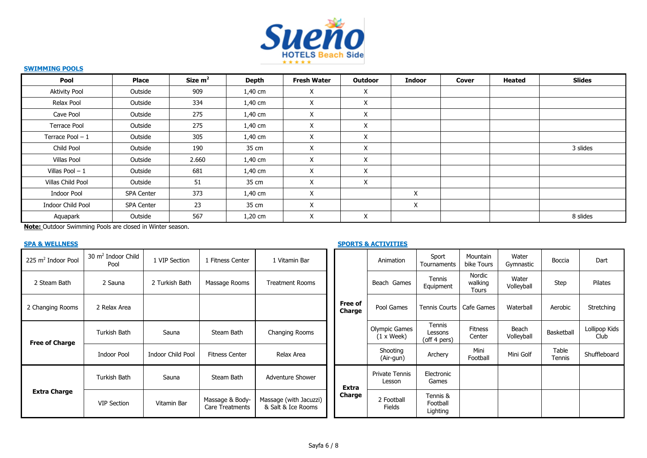

# **SWIMMING POOLS**

| Pool                 | <b>Place</b>      | Size $m2$ | Depth     | <b>Fresh Water</b> | Outdoor  | <b>Indoor</b> | Cover | <b>Heated</b> | <b>Slides</b> |
|----------------------|-------------------|-----------|-----------|--------------------|----------|---------------|-------|---------------|---------------|
| <b>Aktivity Pool</b> | Outside           | 909       | 1,40 cm   | X                  | X        |               |       |               |               |
| Relax Pool           | Outside           | 334       | 1,40 cm   | X                  | X        |               |       |               |               |
| Cave Pool            | Outside           | 275       | 1,40 cm   | X                  | X        |               |       |               |               |
| Terrace Pool         | Outside           | 275       | 1,40 cm   | X                  | X        |               |       |               |               |
| Terrace Pool $-1$    | Outside           | 305       | $1,40$ cm | X                  | $\times$ |               |       |               |               |
| Child Pool           | Outside           | 190       | 35 cm     | X                  | X        |               |       |               | 3 slides      |
| Villas Pool          | Outside           | 2.660     | 1,40 cm   | X                  | X        |               |       |               |               |
| Villas Pool $-1$     | Outside           | 681       | $1,40$ cm | X                  | $\times$ |               |       |               |               |
| Villas Child Pool    | Outside           | 51        | 35 cm     | X                  | X        |               |       |               |               |
| <b>Indoor Pool</b>   | <b>SPA Center</b> | 373       | 1,40 cm   | X                  |          | X             |       |               |               |
| Indoor Child Pool    | <b>SPA Center</b> | 23        | 35 cm     | X                  |          | X             |       |               |               |
| Aquapark             | Outside           | 567       | $1,20$ cm | X                  | Χ        |               |       |               | 8 slides      |

**Note:** Outdoor Swimming Pools are closed in Winter season.

# **SPA & WELLNESS SPA & MELLNESS** SPORTS ACTIVITIES

| 225 m <sup>2</sup> Indoor Pool | 30 m <sup>2</sup> Indoor Child<br>Pool | 1 VIP Section     | l Fitness Center                   | 1 Vitamin Bar                                |                   | Animation                                 | Sport<br>Tournaments              | Mountain<br>bike Tours            | Water<br>Gymnastic  | Boccia          | Dart                  |
|--------------------------------|----------------------------------------|-------------------|------------------------------------|----------------------------------------------|-------------------|-------------------------------------------|-----------------------------------|-----------------------------------|---------------------|-----------------|-----------------------|
| 2 Steam Bath                   | 2 Sauna                                | 2 Turkish Bath    | Massage Rooms                      | <b>Treatment Rooms</b>                       |                   | Beach Games                               | Tennis<br>Equipment               | Nordic<br>walking<br><b>Tours</b> | Water<br>Volleyball | Step            | Pilates               |
| 2 Changing Rooms               | 2 Relax Area                           |                   |                                    |                                              | Free of<br>Charge | Pool Games                                | <b>Tennis Courts</b>              | Cafe Games                        | Waterball           | Aerobic         | Stretching            |
| <b>Free of Charge</b>          | Turkish Bath                           | Sauna             | Steam Bath                         | Changing Rooms                               |                   | Olympic Games<br>$(1 \times \text{Week})$ | Tennis<br>Lessons<br>(off 4 pers) | <b>Fitness</b><br>Center          | Beach<br>Volleyball | Basketball      | Lollipop Kids<br>Club |
|                                | <b>Indoor Pool</b>                     | Indoor Child Pool | <b>Fitness Center</b>              | Relax Area                                   |                   | Shooting<br>(Air-gun)                     | Archery                           | Mini<br>Football                  | Mini Golf           | Table<br>Tennis | Shuffleboard          |
|                                | Turkish Bath                           | Sauna             | Steam Bath                         | Adventure Shower                             | <b>Extra</b>      | Private Tennis<br>Lesson                  | Electronic<br>Games               |                                   |                     |                 |                       |
| <b>Extra Charge</b>            | <b>VIP Section</b>                     | Vitamin Bar       | Massage & Body-<br>Care Treatments | Massage (with Jacuzzi)<br>& Salt & Ice Rooms | Charge            | 2 Football<br><b>Fields</b>               | Tennis &<br>Football<br>Lighting  |                                   |                     |                 |                       |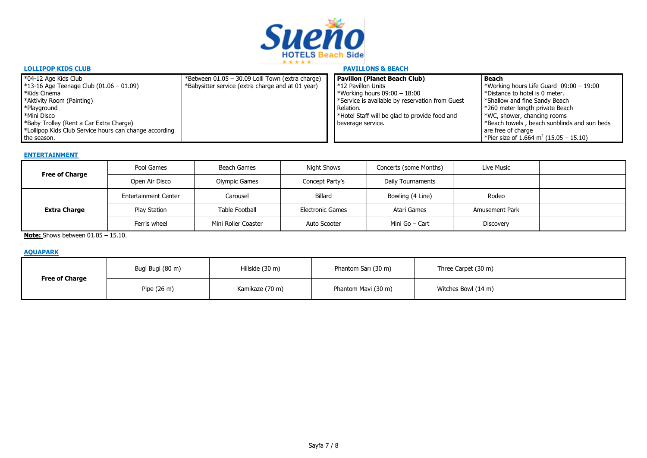

| <b>LOLLIPOP KIDS CLUB</b>                              |                                                   | <b>PAVILLONS &amp; BEACH</b>                              |                                                                 |
|--------------------------------------------------------|---------------------------------------------------|-----------------------------------------------------------|-----------------------------------------------------------------|
| *04-12 Age Kids Club                                   | *Between 01.05 - 30.09 Lolli Town (extra charge)  | <b>Pavillon (Planet Beach Club)</b>                       | Beach                                                           |
| $*13-16$ Age Teenage Club (01.06 - 01.09)              | *Babysitter service (extra charge and at 01 year) | $\mathsf{I}^*$ 12 Pavillon Units                          | *Working hours Life Guard $09:00 - 19:00$                       |
| *Kids Cinema                                           |                                                   | <b>*Working hours 09:00 - 18:00</b>                       | *Distance to hotel is 0 meter.                                  |
| *Aktivity Room (Painting)                              |                                                   | *Service is available by reservation from Guest           | *Shallow and fine Sandy Beach                                   |
| *Playground                                            |                                                   | Relation.                                                 | *260 meter length private Beach                                 |
| *Mini Disco                                            |                                                   | <sup>*</sup> Hotel Staff will be glad to provide food and | *WC, shower, chancing rooms                                     |
| *Baby Trolley (Rent a Car Extra Charge)                |                                                   | beverage service.                                         | *Beach towels, beach sunblinds and sun beds                     |
| *Lollipop Kids Club Service hours can change according |                                                   |                                                           | are free of charge                                              |
| the season.                                            |                                                   |                                                           | <sup>1</sup> *Pier size of 1.664 m <sup>2</sup> (15.05 – 15.10) |

#### **ENTERTAINMENT**

| <b>Free of Charge</b> | Pool Games                  | Beach Games          | Night Shows             | Concerts (some Months) | Live Music            |  |
|-----------------------|-----------------------------|----------------------|-------------------------|------------------------|-----------------------|--|
|                       | Open Air Disco              | <b>Olympic Games</b> | Concept Party's         | Daily Tournaments      |                       |  |
| <b>Extra Charge</b>   | <b>Entertainment Center</b> | Carousel             | Billard                 | Bowling (4 Line)       | Rodeo                 |  |
|                       | Play Station                | Table Football       | <b>Electronic Games</b> | Atari Games            | <b>Amusement Park</b> |  |
|                       | Ferris wheel                | Mini Roller Coaster  | Auto Scooter            | Mini Go - Cart         | <b>Discovery</b>      |  |

**Note:** Shows between 01.05 - 15.10.

# **AQUAPARK**

| <b>Free of Charge</b> | Bugi Bugi (80 m)      | Hillside (30 m) | Phantom Sarı (30 m) | Three Carpet (30 m) |  |
|-----------------------|-----------------------|-----------------|---------------------|---------------------|--|
|                       | Pipe $(26 \text{ m})$ | Kamikaze (70 m) | Phantom Mavi (30 m) | Witches Bowl (14 m) |  |